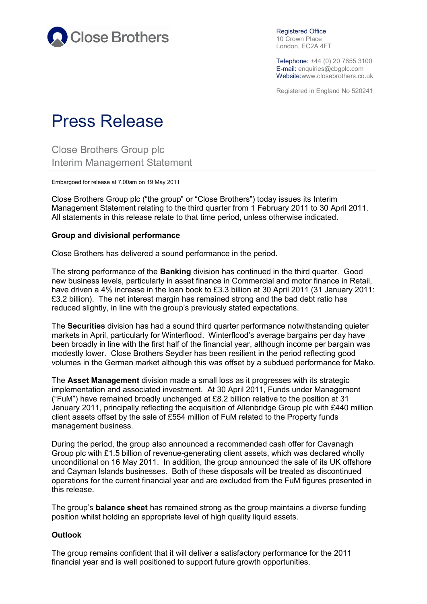

Registered Office 10 Crown Place London, EC2A 4FT

Telephone: +44 (0) 20 7655 3100 E-mail: enquiries@cbgplc.com Website:www.closebrothers.co.uk

Registered in England No 520241

## Press Release

Close Brothers Group plc Interim Management Statement

Embargoed for release at 7.00am on 19 May 2011

Close Brothers Group plc ("the group" or "Close Brothers") today issues its Interim Management Statement relating to the third quarter from 1 February 2011 to 30 April 2011. All statements in this release relate to that time period, unless otherwise indicated.

## **Group and divisional performance**

Close Brothers has delivered a sound performance in the period.

The strong performance of the **Banking** division has continued in the third quarter. Good new business levels, particularly in asset finance in Commercial and motor finance in Retail, have driven a 4% increase in the loan book to £3.3 billion at 30 April 2011 (31 January 2011: £3.2 billion). The net interest margin has remained strong and the bad debt ratio has reduced slightly, in line with the group's previously stated expectations.

The **Securities** division has had a sound third quarter performance notwithstanding quieter markets in April, particularly for Winterflood. Winterflood's average bargains per day have been broadly in line with the first half of the financial year, although income per bargain was modestly lower. Close Brothers Seydler has been resilient in the period reflecting good volumes in the German market although this was offset by a subdued performance for Mako.

The **Asset Management** division made a small loss as it progresses with its strategic implementation and associated investment. At 30 April 2011, Funds under Management ("FuM") have remained broadly unchanged at £8.2 billion relative to the position at 31 January 2011, principally reflecting the acquisition of Allenbridge Group plc with £440 million client assets offset by the sale of £554 million of FuM related to the Property funds management business.

During the period, the group also announced a recommended cash offer for Cavanagh Group plc with £1.5 billion of revenue-generating client assets, which was declared wholly unconditional on 16 May 2011. In addition, the group announced the sale of its UK offshore and Cayman Islands businesses. Both of these disposals will be treated as discontinued operations for the current financial year and are excluded from the FuM figures presented in this release.

The group's **balance sheet** has remained strong as the group maintains a diverse funding position whilst holding an appropriate level of high quality liquid assets.

## **Outlook**

The group remains confident that it will deliver a satisfactory performance for the 2011 financial year and is well positioned to support future growth opportunities.